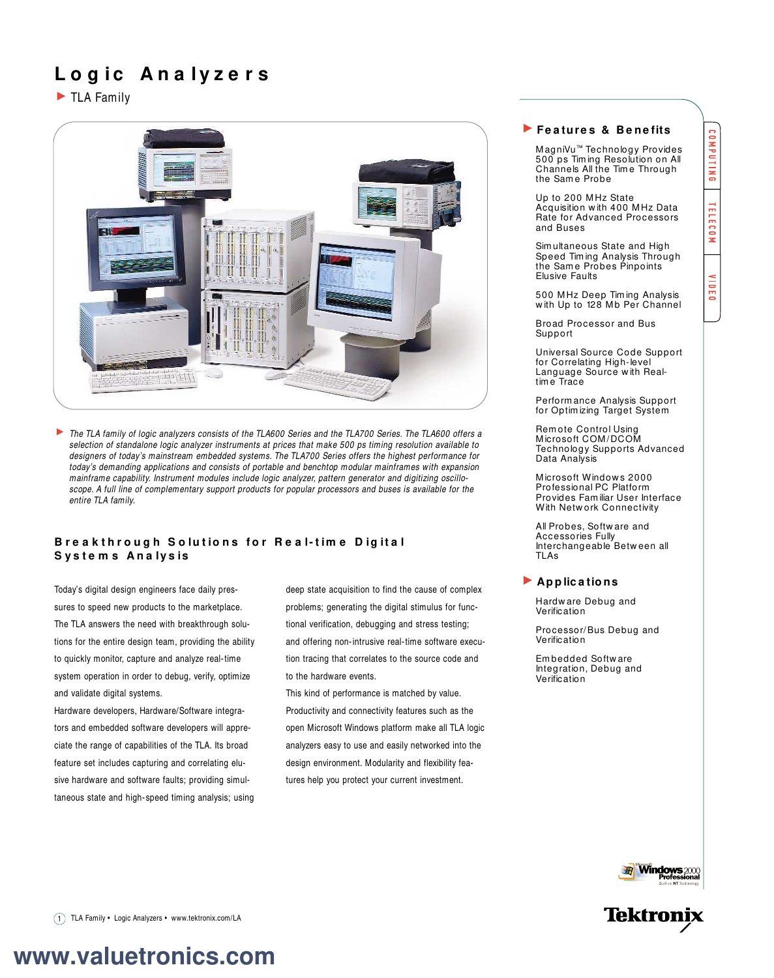## **L o g ic An a lyz e r s**

TLA Family



The TLA family of logic analyzers consists of the TLA600 Series and the TLA700 Series. The TLA600 offers a selection of standalone logic analyzer instruments at prices that make 500 ps timing resolution available to designers of today's mainstream embedded systems. The TLA700 Series offers the highest performance for today's demanding applications and consists of portable and benchtop modular mainframes with expansion mainframe capability. Instrument modules include logic analyzer, pattern generator and digitizing oscilloscope. A full line of complementary support products for popular processors and buses is available for the entire TLA family.

## **Breakthrough Solutions for Real-time Digital S ys t e m s An a lys is**

Today's digital design engineers face daily pressures to speed new products to the marketplace. The TLA answers the need with breakthrough solutions for the entire design team, providing the ability to quickly monitor, capture and analyze real-time system operation in order to debug, verify, optimize and validate digital systems.

Hardware developers, Hardware/Software integrators and embedded software developers will appreciate the range of capabilities of the TLA. Its broad feature set includes capturing and correlating elusive hardware and software faults; providing simultaneous state and high-speed timing analysis; using

deep state acquisition to find the cause of complex problems; generating the digital stimulus for functional verification, debugging and stress testing; and offering non-intrusive real-time software execution tracing that correlates to the source code and to the hardware events.

This kind of performance is matched by value. Productivity and connectivity features such as the open Microsoft Windows platform make all TLA logic analyzers easy to use and easily networked into the design environment. Modularity and flexibility features help you protect your current investment.

### **Fe a ture s & B e ne fits**

M agniVu™ Technology Provides 500 ps Tim ing Resolution on All Channels All the Tim e Through the Same Probe

Up to 200 M Hz State Acquisition w ith 400 M Hz Data Rate for Advanced Processors and Buses

Sim ultaneous State and High Speed Timing Analysis Through the Same Probes Pinpoints Elusive Faults

500 M Hz Deep Tim ing Analysis with Up to 128 Mb Per Channel

Broad Processor and Bus **Support** 

Universal Source Code Support for Correlating High-level Language Source w ith Realtim e Trace

Perform ance Analysis Support for Optim izing Target System

Rem ote Control Using M icrosoft COM /DCOM Technology Supports Advanced Data Analysis

M icrosoft Window s 2000 Professional PC Platform Provides Fam iliar User Interface With Netw ork Connectivity

All Probes, Softw are and Accessories Fully Interchangeable Betw een all TLAs

## **Ap p lic a tio ns**

Hardw are Debug and Verification

Processor/Bus Debug and Verification

Em bedded Softw are Integration, Debug and Verification





COMPUTING

**TELECOM** 

4 **UBE0** 

1 TLA Family • Logic Analyzers • www.tektronix.com/LA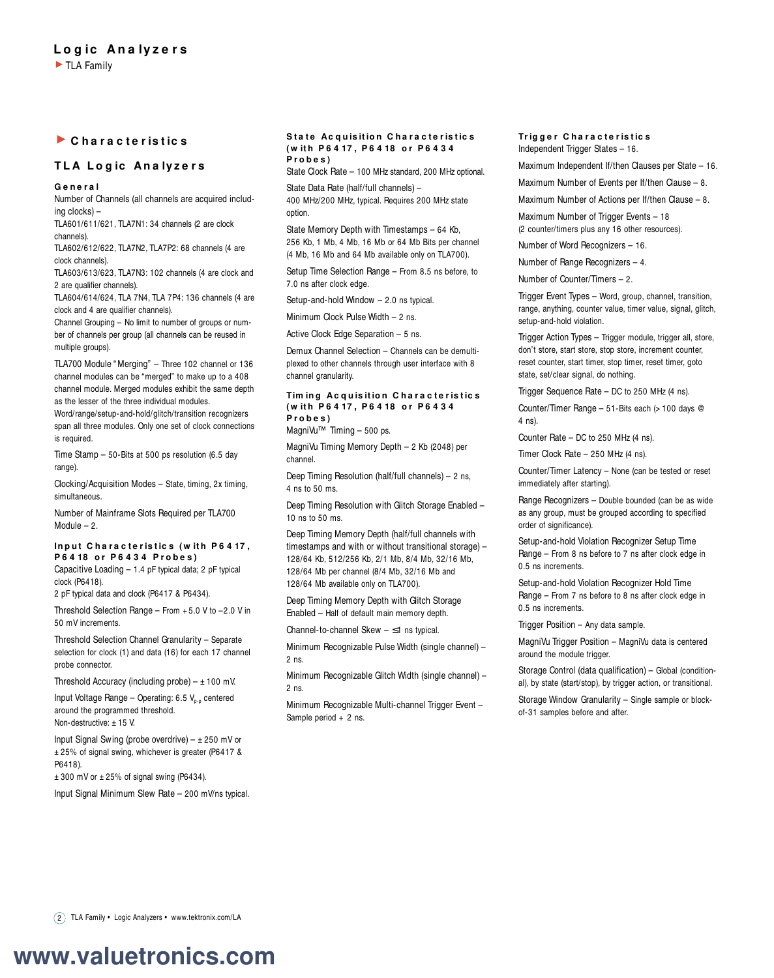## **C h a r a c t e r is t ic s**

## **TLA Logic Analyzers**

### **G e n e r a l**

Number of Channels (all channels are acquired including clocks) – TLA601/611/621, TLA7N1: 34 channels (2 are clock

channels).

TLA602/612/622, TLA7N2, TLA7P2: 68 channels (4 are clock channels).

TLA603/613/623, TLA7N3: 102 channels (4 are clock and 2 are qualifier channels).

TLA604/614/624, TLA 7N4, TLA 7P4: 136 channels (4 are clock and 4 are qualifier channels).

Channel Grouping – No limit to number of groups or number of channels per group (all channels can be reused in multiple groups).

TLA700 Module " Merging" – Three 102 channel or 136 channel modules can be "merged" to make up to a 408 channel module. Merged modules exhibit the same depth as the lesser of the three individual modules.

Word/range/setup-and-hold/glitch/transition recognizers span all three modules. Only one set of clock connections is required.

Time Stamp – 50-Bits at 500 ps resolution (6.5 day range)

Clocking/Acquisition Modes – State, timing, 2x timing, simultaneous.

Number of Mainframe Slots Required per TLA700 Module – 2.

#### Input Characteristics (with P6417, **P 6 4 18 o r P 6 4 3 4 P r o b e s )**

Capacitive Loading – 1.4 pF typical data; 2 pF typical clock (P6418).

2 pF typical data and clock (P6417 & P6434).

Threshold Selection Range – From + 5.0 V to –2.0 V in 50 mV increments.

Threshold Selection Channel Granularity – Separate selection for clock (1) and data (16) for each 17 channel probe connector.

Threshold Accuracy (including probe)  $- \pm 100$  mV.

Input Voltage Range - Operating:  $6.5 V_{p.p}$  centered around the programmed threshold. Non-destructive: +15 V.

Input Signal Swing (probe overdrive)  $- \pm 250$  mV or ± 25% of signal swing, whichever is greater (P6417 & P6418).

 $± 300$  mV or  $± 25%$  of signal swing (P6434).

Input Signal Minimum Slew Rate – 200 mV/ns typical.

#### **State Acquisition Characteristics ( w it h P 6 4 17 , P 6 4 18 o r P 6 4 3 4 P r o b e s )**

State Clock Rate – 100 MHz standard, 200 MHz optional.

State Data Rate (half/full channels) – 400 MHz/200 MHz, typical. Requires 200 MHz state option.

State Memory Depth with Timestamps – 64 Kb, 256 Kb, 1 Mb, 4 Mb, 16 Mb or 64 Mb Bits per channel (4 Mb, 16 Mb and 64 Mb available only on TLA700).

Setup Time Selection Range – From 8.5 ns before, to 7.0 ns after clock edge.

Setup-and-hold Window – 2.0 ns typical.

Minimum Clock Pulse Width – 2 ns.

Active Clock Edge Separation – 5 ns.

Demux Channel Selection – Channels can be demultiplexed to other channels through user interface with 8 channel granularity.

### **Tim ing Acquisition Characteristics ( w it h P 6 4 17 , P 6 4 18 o r P 6 4 3 4 P r o b e s )**

MagniVu™ Timing – 500 ps.

MagniVu Timing Memory Depth – 2 Kb (2048) per channel.

Deep Timing Resolution (half/full channels) – 2 ns, 4 ns to 50 ms.

Deep Timing Resolution with Glitch Storage Enabled – 10 ns to 50 ms.

Deep Timing Memory Depth (half/full channels with timestamps and with or without transitional storage) – 128/64 Kb, 512/256 Kb, 2/1 Mb, 8/4 Mb, 32/16 Mb, 128/64 Mb per channel (8/4 Mb, 32/16 Mb and 128/64 Mb available only on TLA700).

Deep Timing Memory Depth with Glitch Storage Enabled – Half of default main memory depth.

Channel-to-channel Skew – ≤1 ns typical.

Minimum Recognizable Pulse Width (single channel) – 2 ns.

Minimum Recognizable Glitch Width (single channel) – 2 ns.

Minimum Recognizable Multi-channel Trigger Event -Sample period + 2 ns.

### **Tr ig g e r C h a r a c t e r is t ic s** Independent Trigger States – 16.

Maximum Independent If/then Clauses per State – 16.

Maximum Number of Events per If/then Clause – 8.

Maximum Number of Actions per If/then Clause – 8.

Maximum Number of Trigger Events – 18 (2 counter/timers plus any 16 other resources).

Number of Word Recognizers – 16.

Number of Range Recognizers – 4.

Number of Counter/Timers – 2.

Trigger Event Types – Word, group, channel, transition, range, anything, counter value, timer value, signal, glitch, setup-and-hold violation.

Trigger Action Types – Trigger module, trigger all, store, don't store, start store, stop store, increment counter, reset counter, start timer, stop timer, reset timer, goto state, set/clear signal, do nothing.

Trigger Sequence Rate – DC to 250 MHz (4 ns).

Counter/Timer Range – 51-Bits each (> 100 days @ 4 ns).

Counter Rate – DC to 250 MHz (4 ns).

Timer Clock Rate – 250 MHz (4 ns).

Counter/Timer Latency – None (can be tested or reset immediately after starting).

Range Recognizers – Double bounded (can be as wide as any group, must be grouped according to specified order of significance).

Setup-and-hold Violation Recognizer Setup Time Range – From 8 ns before to 7 ns after clock edge in 0.5 ns increments.

Setup-and-hold Violation Recognizer Hold Time Range – From 7 ns before to 8 ns after clock edge in 0.5 ns increments.

Trigger Position – Any data sample.

MagniVu Trigger Position – MagniVu data is centered around the module trigger.

Storage Control (data qualification) – Global (conditional), by state (start/stop), by trigger action, or transitional.

Storage Window Granularity – Single sample or blockof-31 samples before and after.

2 TLA Family • Logic Analyzers • www.tektronix.com/LA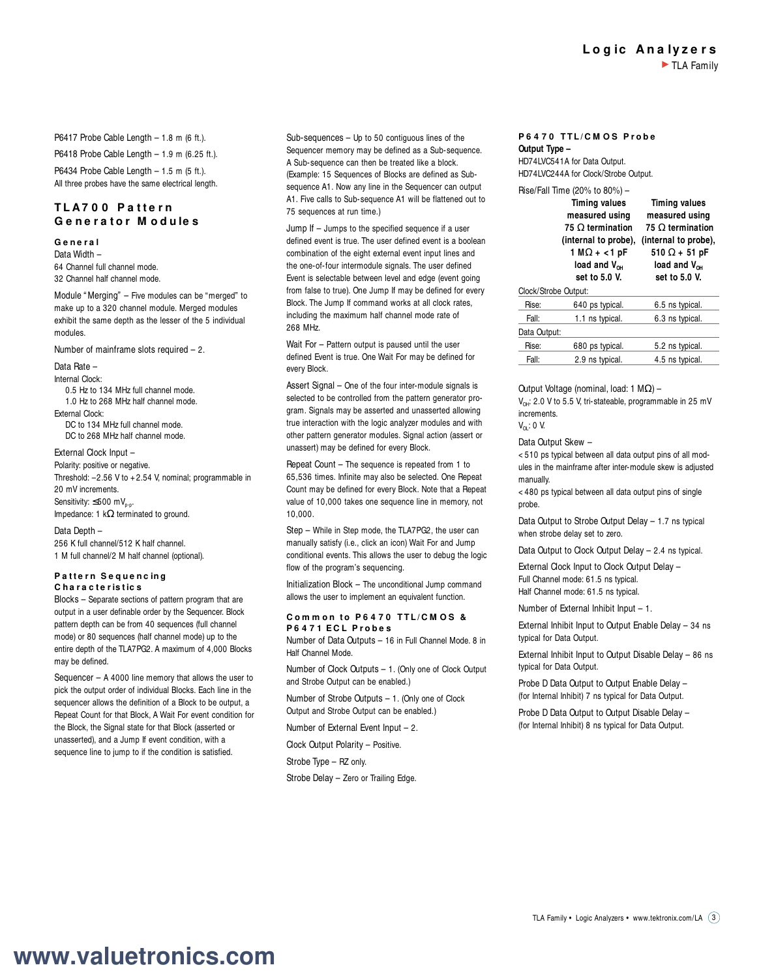P6417 Probe Cable Length – 1.8 m (6 ft.).

P6418 Probe Cable Length – 1.9 m (6.25 ft.). P6434 Probe Cable Length  $-1.5$  m  $(5 \text{ ft.})$ . All three probes have the same electrical length.

## **T L A7 0 0 P a t t e r n G e n e r a t o r M o d u le s**

## **G e n e r a l**

Data Width – 64 Channel full channel mode. 32 Channel half channel mode.

Module " Merging" – Five modules can be "merged" to make up to a 320 channel module. Merged modules exhibit the same depth as the lesser of the 5 individual modules.

Number of mainframe slots required – 2.

Data Rate –

Internal Clock: 0.5 Hz to 134 MHz full channel mode.

1.0 Hz to 268 MHz half channel mode. External Clock: DC to 134 MHz full channel mode. DC to 268 MHz half channel mode.

### External Clock Input –

Polarity: positive or negative. Threshold:  $-2.56$  V to  $+2.54$  V, nominal; programmable in 20 mV increments. Sensitivity:  $\leq$ 500 mV<sub>p-p</sub>. Impedance: 1 kΩ terminated to ground.

Data Depth – 256 K full channel/512 K half channel. 1 M full channel/2 M half channel (optional).

### **Pattern Sequencing C h a r a c t e r is t ic s**

Blocks – Separate sections of pattern program that are output in a user definable order by the Sequencer. Block pattern depth can be from 40 sequences (full channel mode) or 80 sequences (half channel mode) up to the entire depth of the TLA7PG2. A maximum of 4,000 Blocks may be defined.

Sequencer – A 4000 line memory that allows the user to pick the output order of individual Blocks. Each line in the sequencer allows the definition of a Block to be output, a Repeat Count for that Block, A Wait For event condition for the Block, the Signal state for that Block (asserted or unasserted), and a Jump If event condition, with a sequence line to jump to if the condition is satisfied.

Sub-sequences – Up to 50 contiguous lines of the Sequencer memory may be defined as a Sub-sequence. A Sub-sequence can then be treated like a block. (Example: 15 Sequences of Blocks are defined as Subsequence A1. Now any line in the Sequencer can output A1. Five calls to Sub-sequence A1 will be flattened out to 75 sequences at run time.)

Jump If – Jumps to the specified sequence if a user defined event is true. The user defined event is a boolean combination of the eight external event input lines and the one-of-four intermodule signals. The user defined Event is selectable between level and edge (event going from false to true). One Jump If may be defined for every Block. The Jump If command works at all clock rates, including the maximum half channel mode rate of 268 MHz.

Wait For - Pattern output is paused until the user defined Event is true. One Wait For may be defined for every Block.

Assert Signal – One of the four inter-module signals is selected to be controlled from the pattern generator program. Signals may be asserted and unasserted allowing true interaction with the logic analyzer modules and with other pattern generator modules. Signal action (assert or unassert) may be defined for every Block.

Repeat Count – The sequence is repeated from 1 to 65,536 times. Infinite may also be selected. One Repeat Count may be defined for every Block. Note that a Repeat value of 10,000 takes one sequence line in memory, not 10,000.

Step – While in Step mode, the TLA7PG2, the user can manually satisfy (i.e., click an icon) Wait For and Jump conditional events. This allows the user to debug the logic flow of the program's sequencing.

Initialization Block – The unconditional Jump command allows the user to implement an equivalent function.

## **C o m m o n t o P 6 4 7 0 T T L / C M O S & P 6 4 7 1 E C L P r o b e s**

Number of Data Outputs – 16 in Full Channel Mode. 8 in Half Channel Mode.

Number of Clock Outputs – 1. (Only one of Clock Output and Strobe Output can be enabled.)

Number of Strobe Outputs – 1. (Only one of Clock Output and Strobe Output can be enabled.)

Number of External Event Input – 2.

Clock Output Polarity – Positive.

Strobe Type – RZ only.

Strobe Delay – Zero or Trailing Edge.

## **P 6 4 7 0 T T L / C M O S P r o b e Output Type –**

HD74LVC541A for Data Output. HD74LVC244A for Clock/Strobe Output. Rise/Fall Time (20% to 80%) –

|                      | $1136/1$ all $11116$ (20 /0 to 00 /0) $-$                                                                                                                      |                                                                                                                                                         |
|----------------------|----------------------------------------------------------------------------------------------------------------------------------------------------------------|---------------------------------------------------------------------------------------------------------------------------------------------------------|
|                      | <b>Timing values</b><br>measured using<br>$75 \Omega$ termination<br>(internal to probe).<br>$1 M\Omega + < 1 pF$<br>load and $V_{\alpha\mu}$<br>set to 5.0 V. | <b>Timing values</b><br>measured using<br>75 O termination<br>(internal to probe),<br>$510 \Omega + 51$ pF<br>load and $V_{\alpha\mu}$<br>set to 5.0 V. |
| Clock/Strobe Output: |                                                                                                                                                                |                                                                                                                                                         |
| Rise:                | 640 ps typical.                                                                                                                                                | 6.5 ns typical.                                                                                                                                         |
| Fall:                | 1.1 ns typical.                                                                                                                                                | 6.3 ns typical.                                                                                                                                         |
| Data Output:         |                                                                                                                                                                |                                                                                                                                                         |
| Rise:                | 680 ps typical.                                                                                                                                                | 5.2 ns typical.                                                                                                                                         |
| Fall:                | 2.9 ns typical.                                                                                                                                                | 4.5 ns typical.                                                                                                                                         |

Output Voltage (nominal, load: 1 MΩ) –

 $V_{\text{out}}$ : 2.0 V to 5.5 V, tri-stateable, programmable in 25 mV increments.

## $V_{\text{OL}}$ : 0 V.

## Data Output Skew –

< 510 ps typical between all data output pins of all modules in the mainframe after inter-module skew is adjusted manually.

< 480 ps typical between all data output pins of single probe.

Data Output to Strobe Output Delay – 1.7 ns typical when strobe delay set to zero.

Data Output to Clock Output Delay – 2.4 ns typical.

External Clock Input to Clock Output Delay – Full Channel mode: 61.5 ns typical. Half Channel mode: 61.5 ns typical.

Number of External Inhibit Input – 1.

External Inhibit Input to Output Enable Delay – 34 ns typical for Data Output.

External Inhibit Input to Output Disable Delay – 86 ns typical for Data Output.

Probe D Data Output to Output Enable Delay – (for Internal Inhibit) 7 ns typical for Data Output.

Probe D Data Output to Output Disable Delay – (for Internal Inhibit) 8 ns typical for Data Output.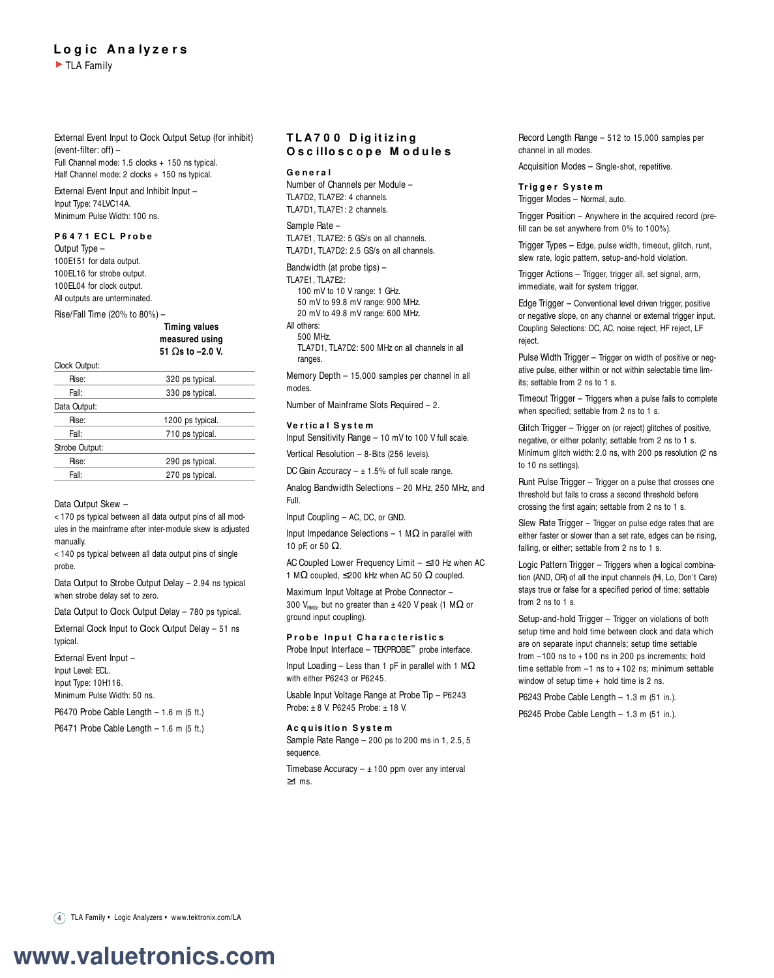## **L o g ic An a lyz e r s** TLA Family

External Event Input to Clock Output Setup (for inhibit) (event-filter: off) – Full Channel mode: 1.5 clocks + 150 ns typical.

Half Channel mode: 2 clocks + 150 ns typical. External Event Input and Inhibit Input – Input Type: 74LVC14A.

Minimum Pulse Width: 100 ns.

## **P 6 4 7 1 E C L P r o b e**

Output Type – 100E151 for data output. 100EL16 for strobe output. 100EL04 for clock output. All outputs are unterminated.

Rise/Fall Time (20% to 80%) –

**Timing values measured using 51** Ω**s to –2.0 V.**

### Clock Output:

| Rise:          | 320 ps typical.  |  |
|----------------|------------------|--|
| Fall:          | 330 ps typical.  |  |
| Data Output:   |                  |  |
| Rise:          | 1200 ps typical. |  |
| Fall:          | 710 ps typical.  |  |
| Strobe Output: |                  |  |
| Rise:          | 290 ps typical.  |  |
| Fall:          | 270 ps typical.  |  |
|                |                  |  |

### Data Output Skew –

< 170 ps typical between all data output pins of all modules in the mainframe after inter-module skew is adjusted manually.

< 140 ps typical between all data output pins of single probe.

Data Output to Strobe Output Delay – 2.94 ns typical when strobe delay set to zero.

Data Output to Clock Output Delay – 780 ps typical.

External Clock Input to Clock Output Delay – 51 ns typical.

External Event Input – Input Level: ECL. Input Type: 10H116. Minimum Pulse Width: 50 ns.

P6470 Probe Cable Length – 1.6 m (5 ft.)

P6471 Probe Cable Length – 1.6 m (5 ft.)

## **T L A7 0 0 D ig it iz in g O s c illo s c o p e M o d u le s**

### **G e n e r a l**

Number of Channels per Module – TLA7D2, TLA7E2: 4 channels. TLA7D1, TLA7E1: 2 channels.

#### Sample Rate –

TLA7E1, TLA7E2: 5 GS/s on all channels. TLA7D1, TLA7D2: 2.5 GS/s on all channels.

Bandwidth (at probe tips) – TLA7E1, TLA7E2: 100 mV to 10 V range: 1 GHz. 50 mV to 99.8 mV range: 900 MHz.

20 mV to 49.8 mV range: 600 MHz. All others:

500 MHz.

TLA7D1, TLA7D2: 500 MHz on all channels in all ranges.

Memory Depth – 15,000 samples per channel in all modes.

Number of Mainframe Slots Required – 2.

### **Ve r t ic a l S ys t e m**

Input Sensitivity Range – 10 mV to 100 V full scale. Vertical Resolution – 8-Bits (256 levels).

DC Gain Accuracy  $\pm$  1.5% of full scale range.

Analog Bandwidth Selections – 20 MHz, 250 MHz, and Full.

Input Coupling – AC, DC, or GND.

Input Impedance Selections – 1 MΩ in parallel with 10 pF, or 50 Ω.

AC Coupled Lower Frequency Limit – ≤10 Hz when AC 1 MΩ coupled,  $\leq$ 200 kHz when AC 50 Ω coupled.

Maximum Input Voltage at Probe Connector – 300 V<sub>RMS</sub>, but no greater than  $\pm$  420 V peak (1 M $\Omega$  or ground input coupling).

### **Probe Input Characteristics** Probe Input Interface – TEKPROBE™ probe interface.

Input Loading – Less than 1 pF in parallel with 1 M $\Omega$ with either P6243 or P6245.

Usable Input Voltage Range at Probe Tip – P6243 Probe: ± 8 V. P6245 Probe: ± 18 V.

### **Ac quisition System**

Sample Rate Range – 200 ps to 200 ms in 1, 2.5, 5 sequence.

Timebase Accuracy  $\pm$  100 ppm over any interval ≥1 ms.

Record Length Range – 512 to 15,000 samples per channel in all modes.

Acquisition Modes – Single-shot, repetitive.

### **Tr ig g e r S ys t e m** Trigger Modes – Normal, auto.

Trigger Position – Anywhere in the acquired record (prefill can be set anywhere from 0% to 100%).

Trigger Types – Edge, pulse width, timeout, glitch, runt, slew rate, logic pattern, setup-and-hold violation.

Trigger Actions – Trigger, trigger all, set signal, arm, immediate, wait for system trigger.

Edge Trigger – Conventional level driven trigger, positive or negative slope, on any channel or external trigger input. Coupling Selections: DC, AC, noise reject, HF reject, LF reject.

Pulse Width Trigger – Trigger on width of positive or negative pulse, either within or not within selectable time limits; settable from 2 ns to 1 s.

Timeout Trigger – Triggers when a pulse fails to complete when specified; settable from 2 ns to 1 s.

Glitch Trigger – Trigger on (or reject) glitches of positive, negative, or either polarity; settable from 2 ns to 1 s. Minimum glitch width: 2.0 ns, with 200 ps resolution (2 ns to 10 ns settings).

Runt Pulse Trigger – Trigger on a pulse that crosses one threshold but fails to cross a second threshold before crossing the first again; settable from 2 ns to 1 s.

Slew Rate Trigger – Trigger on pulse edge rates that are either faster or slower than a set rate, edges can be rising, falling, or either; settable from 2 ns to 1 s.

Logic Pattern Trigger – Triggers when a logical combination (AND, OR) of all the input channels (Hi, Lo, Don't Care) stays true or false for a specified period of time; settable from 2 ns to 1 s.

Setup-and-hold Trigger – Trigger on violations of both setup time and hold time between clock and data which are on separate input channels; setup time settable from  $-100$  ns to  $+100$  ns in 200 ps increments; hold time settable from  $-1$  ns to  $+102$  ns; minimum settable window of setup time + hold time is 2 ns.

P6243 Probe Cable Length – 1.3 m (51 in.). P6245 Probe Cable Length – 1.3 m (51 in.).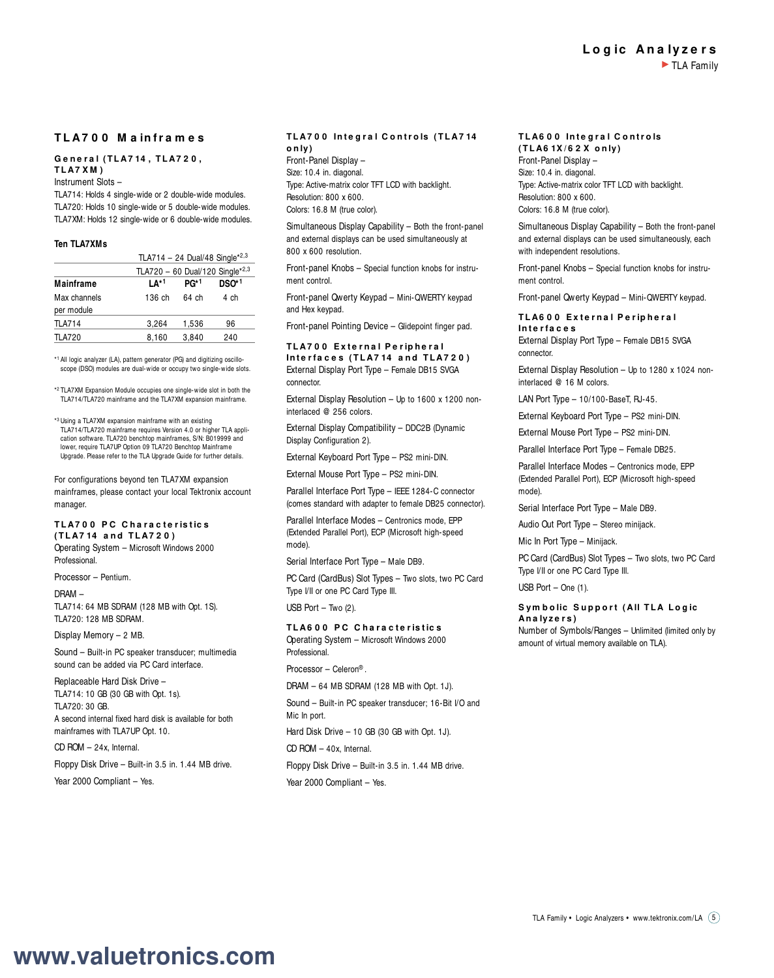## **L o g ic An a lyz e r s** TLA Family

## **T L A7 0 0 M a in fr a m e s**

## **G e n e r a l ( T L A7 14 , T L A7 2 0 , T L A7 X M )**

Instrument Slots –

TLA714: Holds 4 single-wide or 2 double-wide modules. TLA720: Holds 10 single-wide or 5 double-wide modules. TLA7XM: Holds 12 single-wide or 6 double-wide modules.

### **Ten TLA7XMs**

|                                 | TLA714 - 24 Dual/48 Single*2,3 |       |       |  |  |
|---------------------------------|--------------------------------|-------|-------|--|--|
| TLA720 - 60 Dual/120 Single*2,3 |                                |       |       |  |  |
| Mainframe                       | 1∆1                            | PG*1  | DSO*1 |  |  |
| Max channels                    | 136 ch                         | 64 ch | 4 ch  |  |  |
| per module                      |                                |       |       |  |  |
| <b>TLA714</b>                   | 3.264                          | 1,536 | 96    |  |  |
| <b>TLA720</b>                   | 8,160                          | 3.840 | 240   |  |  |

\* <sup>1</sup> All logic analyzer (LA), pattern generator (PG) and digitizing oscillo-scope (DSO) modules are dual-wide or occupy two single-wide slots.

\* <sup>2</sup> TLA7XM Expansion Module occupies one single-wide slot in both the TLA714/TLA720 mainframe and the TLA7XM expansion mainframe.

\* <sup>3</sup> Using a TLA7XM expansion mainframe with an existing TLA714/TLA720 mainframe requires Version 4.0 or higher TLA application software. TLA720 benchtop mainframes, S/N: B019999 and lower, require TLA7UP Option 09 TLA720 Benchtop Mainframe Upgrade. Please refer to the TLA Upgrade Guide for further details.

For configurations beyond ten TLA7XM expansion mainframes, please contact your local Tektronix account manager.

#### **TLA700 PC Characteristics ( T L A7 14 a n d T L A7 2 0 )**

Operating System – Microsoft Windows 2000 Professional.

Processor – Pentium.

DRAM – TLA714: 64 MB SDRAM (128 MB with Opt. 1S). TLA720: 128 MB SDRAM.

Display Memory – 2 MB.

Sound – Built-in PC speaker transducer; multimedia sound can be added via PC Card interface.

Replaceable Hard Disk Drive – TLA714: 10 GB (30 GB with Opt. 1s). TLA720: 30 GB.

A second internal fixed hard disk is available for both mainframes with TLA7UP Opt. 10.

CD ROM – 24x, Internal.

Floppy Disk Drive – Built-in 3.5 in. 1.44 MB drive.

Year 2000 Compliant - Yes.

## **TLA700 Integral Controls (TLA714 o n ly)**

Front-Panel Display – Size: 10.4 in. diagonal. Type: Active-matrix color TFT LCD with backlight. Resolution: 800 x 600. Colors: 16.8 M (true color).

Simultaneous Display Capability – Both the front-panel and external displays can be used simultaneously at 800 x 600 resolution.

Front-panel Knobs – Special function knobs for instrument control.

Front-panel Qwerty Keypad – Mini-QWERTY keypad and Hex keypad.

Front-panel Pointing Device – Glidepoint finger pad.

### **T L A7 0 0 E x t e r n a l P e r ip h e r a l** Interfaces (TLA714 and TLA720) External Display Port Type – Female DB15 SVGA connector.

External Display Resolution – Up to 1600 x 1200 noninterlaced @ 256 colors.

External Display Compatibility – DDC2B (Dynamic Display Configuration 2).

External Keyboard Port Type – PS2 mini-DIN.

External Mouse Port Type – PS2 mini-DIN.

Parallel Interface Port Type – IEEE 1284-C connector (comes standard with adapter to female DB25 connector).

Parallel Interface Modes – Centronics mode, EPP (Extended Parallel Port), ECP (Microsoft high-speed mode).

Serial Interface Port Type – Male DB9.

PC Card (CardBus) Slot Types - Two slots, two PC Card Type I/II or one PC Card Type III.

USB Port – Two (2).

## **T L A6 0 0 P C C h a r a c t e r is t ic s**

Operating System – Microsoft Windows 2000 **Professional** 

Processor – Celeron® .

DRAM – 64 MB SDRAM (128 MB with Opt. 1J).

Sound – Built-in PC speaker transducer; 16-Bit I/O and Mic In port.

Hard Disk Drive – 10 GB (30 GB with Opt. 1J).

CD ROM – 40x, Internal.

Floppy Disk Drive – Built-in 3.5 in. 1.44 MB drive.

Year 2000 Compliant - Yes.

#### **TLA600 Integral Controls ( T L A6 1X / 6 2 X o n ly)**

Front-Panel Display – Size: 10.4 in. diagonal. Type: Active-matrix color TFT LCD with backlight. Resolution: 800 x 600. Colors: 16.8 M (true color).

Simultaneous Display Capability – Both the front-panel and external displays can be used simultaneously, each with independent resolutions.

Front-panel Knobs – Special function knobs for instrument control.

Front-panel Qwerty Keypad – Mini-QWERTY keypad.

### **T L A6 0 0 E x t e r n a l P e r ip h e r a l In t e r fa c e s**

External Display Port Type – Female DB15 SVGA connector.

External Display Resolution – Up to 1280 x 1024 noninterlaced @ 16 M colors.

LAN Port Type – 10/100-BaseT, RJ-45.

External Keyboard Port Type – PS2 mini-DIN.

External Mouse Port Type – PS2 mini-DIN.

Parallel Interface Port Type – Female DB25.

Parallel Interface Modes – Centronics mode, EPP (Extended Parallel Port), ECP (Microsoft high-speed mode).

Serial Interface Port Type – Male DB9.

Audio Out Port Type – Stereo minijack.

Mic In Port Type – Minijack.

PC Card (CardBus) Slot Types – Two slots, two PC Card Type I/II or one PC Card Type III.

USB Port – One (1).

### S vm b o lic Support (All TLA Logic **An a lyz e r s )**

Number of Symbols/Ranges – Unlimited (limited only by amount of virtual memory available on TLA).

TLA Family • Logic Analyzers • www.tektronix.com/LA (5)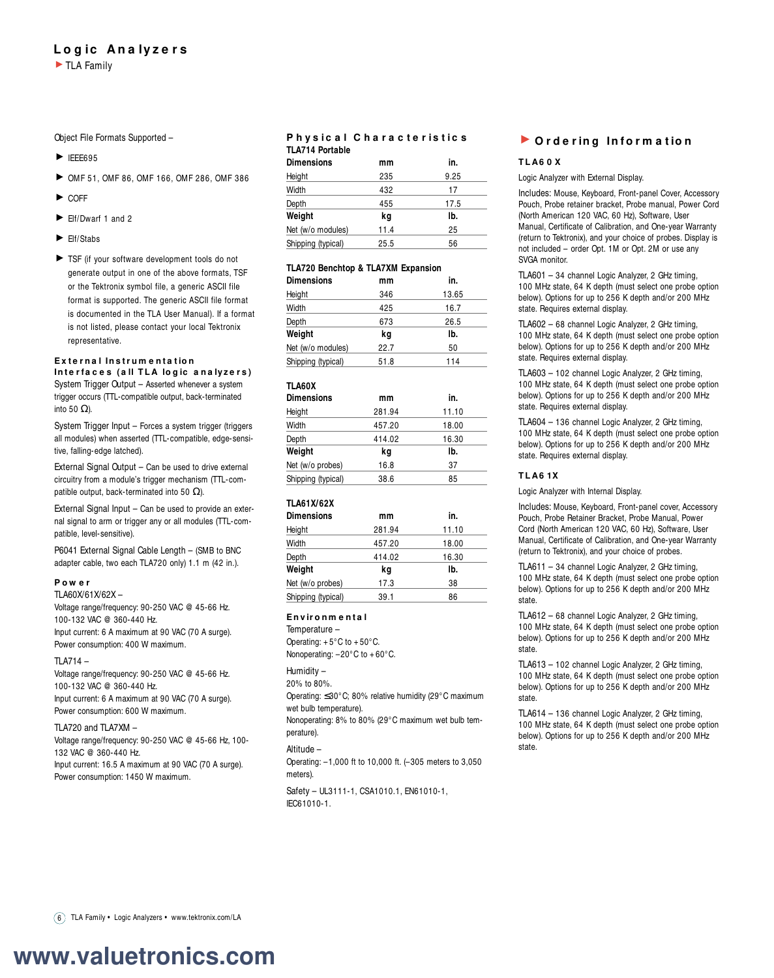## **L o g ic An a lyz e r s**

Object File Formats Supported –

- $\blacktriangleright$  IEEE695
- OMF 51, OMF 86, OMF 166, OMF 286, OMF 386
- $\blacktriangleright$  COFF
- $\blacktriangleright$  Flf/Dwarf 1 and 2
- Elf/Stabs
- TSF (if your software development tools do not generate output in one of the above formats, TSF or the Tektronix symbol file, a generic ASCII file format is supported. The generic ASCII file format is documented in the TLA User Manual). If a format is not listed, please contact your local Tektronix representative.

## **E x t e r n a l In s t r u m e n t a t io n**

Interfaces (all TLA logic analyzers) System Trigger Output – Asserted whenever a system trigger occurs (TTL-compatible output, back-terminated into 50 Ω).

System Trigger Input – Forces a system trigger (triggers all modules) when asserted (TTL-compatible, edge-sensitive, falling-edge latched).

External Signal Output – Can be used to drive external circuitry from a module's trigger mechanism (TTL-compatible output, back-terminated into 50  $\Omega$ ).

External Signal Input – Can be used to provide an external signal to arm or trigger any or all modules (TTL-compatible, level-sensitive).

P6041 External Signal Cable Length – (SMB to BNC adapter cable, two each TLA720 only) 1.1 m (42 in.).

## **P o w e r**

TLA60X/61X/62X – Voltage range/frequency: 90-250 VAC @ 45-66 Hz. 100-132 VAC @ 360-440 Hz. Input current: 6 A maximum at 90 VAC (70 A surge). Power consumption: 400 W maximum.

## TLA714 –

Voltage range/frequency: 90-250 VAC @ 45-66 Hz. 100-132 VAC @ 360-440 Hz.

Input current: 6 A maximum at 90 VAC (70 A surge). Power consumption: 600 W maximum.

## TLA720 and TLA7XM –

Voltage range/frequency: 90-250 VAC @ 45-66 Hz, 100- 132 VAC @ 360-440 Hz.

Input current: 16.5 A maximum at 90 VAC (70 A surge). Power consumption: 1450 W maximum.

## **P h ys ic a l C h a r a c t e r is t ic s TLA714 Portable**

| <b>Dimensions</b>  | mm   | in.  |  |  |
|--------------------|------|------|--|--|
| Height             | 235  | 9.25 |  |  |
| Width              | 432  | 17   |  |  |
| Depth              | 455  | 17.5 |  |  |
| Weight             | kg   | lb.  |  |  |
| Net (w/o modules)  | 11.4 | 25   |  |  |
| Shipping (typical) | 25.5 | 56   |  |  |

## **TLA720 Benchtop & TLA7XM Expansion**

| <b>Dimensions</b>  | mm   | in.   |  |  |  |
|--------------------|------|-------|--|--|--|
| Height             | 346  | 13.65 |  |  |  |
| Width              | 425  | 16.7  |  |  |  |
| Depth              | 673  | 26.5  |  |  |  |
| Weight             | kg   | lb.   |  |  |  |
| Net (w/o modules)  | 22.7 | 50    |  |  |  |
| Shipping (typical) | 51.8 | 114   |  |  |  |

## **TLA60X**

| <b>Dimensions</b>  | mm     | in.   |  |  |
|--------------------|--------|-------|--|--|
| Height             | 281.94 | 11.10 |  |  |
| Width              | 457.20 | 18.00 |  |  |
| Depth              | 414.02 | 16.30 |  |  |
| Weight             | kg     | lb.   |  |  |
| Net (w/o probes)   | 16.8   | 37    |  |  |
| Shipping (typical) | 38.6   | 85    |  |  |

## **TLA61X/62X**

| mm     | in.   |  |  |
|--------|-------|--|--|
| 281.94 | 11.10 |  |  |
| 457.20 | 18.00 |  |  |
| 414.02 | 16.30 |  |  |
| kq     | lb.   |  |  |
| 17.3   | 38    |  |  |
| 39.1   | 86    |  |  |
|        |       |  |  |

## **E n v ir o n m e n t a l**

Temperature – Operating:  $+5^{\circ}$ C to  $+50^{\circ}$ C. Nonoperating: –20°C to + 60°C.

## Humidity –

20% to 80%. Operating: ≤30°C; 80% relative humidity (29°C maximum wet bulb temperature).

Nonoperating: 8% to 80% (29°C maximum wet bulb temperature).

## Altitude –

Operating: –1,000 ft to 10,000 ft. (–305 meters to 3,050 meters).

Safety – UL3111-1, CSA1010.1, EN61010-1, IEC61010-1.

## **D** Ordering Information

## **T L A6 0 X**

Logic Analyzer with External Display.

Includes: Mouse, Keyboard, Front-panel Cover, Accessory Pouch, Probe retainer bracket, Probe manual, Power Cord (North American 120 VAC, 60 Hz), Software, User Manual, Certificate of Calibration, and One-year Warranty (return to Tektronix), and your choice of probes. Display is not included – order Opt. 1M or Opt. 2M or use any SVGA monitor.

TLA601 – 34 channel Logic Analyzer, 2 GHz timing, 100 MHz state, 64 K depth (must select one probe option below). Options for up to 256 K depth and/or 200 MHz state. Requires external display.

TLA602 – 68 channel Logic Analyzer, 2 GHz timing, 100 MHz state, 64 K depth (must select one probe option below). Options for up to 256 K depth and/or 200 MHz state. Requires external display.

TLA603 – 102 channel Logic Analyzer, 2 GHz timing, 100 MHz state, 64 K depth (must select one probe option below). Options for up to 256 K depth and/or 200 MHz state. Requires external display.

TLA604 – 136 channel Logic Analyzer, 2 GHz timing, 100 MHz state, 64 K depth (must select one probe option below). Options for up to 256 K depth and/or 200 MHz state. Requires external display.

## **T L A6 1X**

Logic Analyzer with Internal Display.

Includes: Mouse, Keyboard, Front-panel cover, Accessory Pouch, Probe Retainer Bracket, Probe Manual, Power Cord (North American 120 VAC, 60 Hz), Software, User Manual, Certificate of Calibration, and One-year Warranty (return to Tektronix), and your choice of probes.

TLA611 – 34 channel Logic Analyzer, 2 GHz timing, 100 MHz state, 64 K depth (must select one probe option below). Options for up to 256 K depth and/or 200 MHz state.

TLA612 – 68 channel Logic Analyzer, 2 GHz timing, 100 MHz state, 64 K depth (must select one probe option below). Options for up to 256 K depth and/or 200 MHz state.

TLA613 – 102 channel Logic Analyzer, 2 GHz timing, 100 MHz state, 64 K depth (must select one probe option below). Options for up to 256 K depth and/or 200 MHz state.

TLA614 – 136 channel Logic Analyzer, 2 GHz timing, 100 MHz state, 64 K depth (must select one probe option below). Options for up to 256 K depth and/or 200 MHz state.

6 TLA Family • Logic Analyzers • www.tektronix.com/LA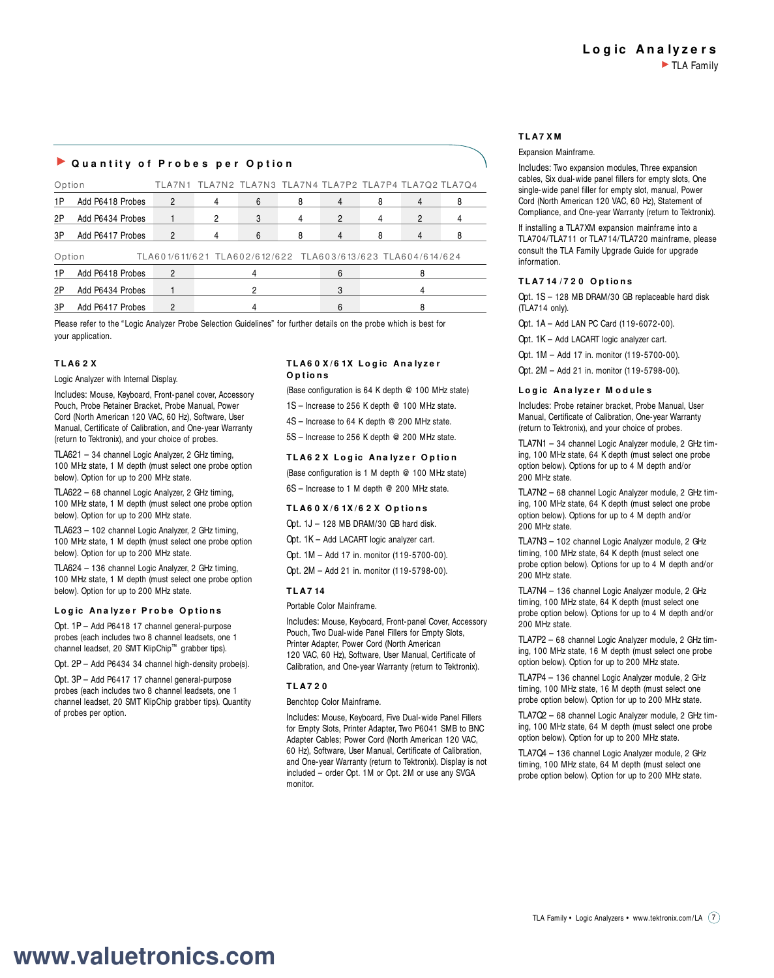## **Quantity of Probes per Option**

| Option                                                                |                  |                | TLA7N1 TLA7N2 TLA7N3 TLA7N4 TLA7P2 TLA7P4 TLA7Q2 TLA7Q4 |   |   |               |   |  |
|-----------------------------------------------------------------------|------------------|----------------|---------------------------------------------------------|---|---|---------------|---|--|
| 1P                                                                    | Add P6418 Probes | $\overline{2}$ |                                                         | 6 | 8 | 4             |   |  |
| 2P                                                                    | Add P6434 Probes |                | 2                                                       | 3 | 4 | $\mathcal{P}$ | 2 |  |
| 3P                                                                    | Add P6417 Probes | 2              |                                                         | 6 | 8 |               |   |  |
| TLA601/611/621 TLA602/612/622 TLA603/613/623 TLA604/614/624<br>Option |                  |                |                                                         |   |   |               |   |  |
| 1 P                                                                   | Add P6418 Probes |                |                                                         |   |   | 6             |   |  |
| 2P                                                                    | Add P6434 Probes |                |                                                         |   |   | 3             |   |  |
| 3P                                                                    | Add P6417 Probes |                |                                                         |   |   | 6             |   |  |

Please refer to the "Logic Analyzer Probe Selection Guidelines" for further details on the probe which is best for your application.

### **T L A6 2 X**

Logic Analyzer with Internal Display.

Includes: Mouse, Keyboard, Front-panel cover, Accessory Pouch, Probe Retainer Bracket, Probe Manual, Power Cord (North American 120 VAC, 60 Hz), Software, User Manual, Certificate of Calibration, and One-year Warranty (return to Tektronix), and your choice of probes.

TLA621 – 34 channel Logic Analyzer, 2 GHz timing, 100 MHz state, 1 M depth (must select one probe option below). Option for up to 200 MHz state.

TLA622 – 68 channel Logic Analyzer, 2 GHz timing, 100 MHz state, 1 M depth (must select one probe option below). Option for up to 200 MHz state.

TLA623 – 102 channel Logic Analyzer, 2 GHz timing, 100 MHz state, 1 M depth (must select one probe option below). Option for up to 200 MHz state.

TLA624 – 136 channel Logic Analyzer, 2 GHz timing, 100 MHz state, 1 M depth (must select one probe option below). Option for up to 200 MHz state.

### **L o g ic An a lyz e r P r o b e O p t io n s**

Opt. 1P – Add P6418 17 channel general-purpose probes (each includes two 8 channel leadsets, one 1 channel leadset, 20 SMT KlipChip™ grabber tips).

Opt. 2P – Add P6434 34 channel high-density probe(s).

Opt. 3P – Add P6417 17 channel general-purpose probes (each includes two 8 channel leadsets, one 1 channel leadset, 20 SMT KlipChip grabber tips). Quantity of probes per option.

### **T L A6 0 X / 6 1X L o g ic An a lyz e r O p t io n s**

(Base configuration is 64 K depth @ 100 MHz state)

- 1S Increase to 256 K depth @ 100 MHz state.
- 4S Increase to 64 K depth @ 200 MHz state.
- 5S Increase to 256 K depth @ 200 MHz state.

## **T L A6 2 X L o g ic An a lyz e r O p t io n**

(Base configuration is 1 M depth @ 100 MHz state) 6S – Increase to 1 M depth @ 200 MHz state.

## **T L A6 0 X / 6 1X / 6 2 X O p t io n s**

- Opt. 1J 128 MB DRAM/30 GB hard disk.
- Opt. 1K Add LACART logic analyzer cart.
- Opt. 1M Add 17 in. monitor (119-5700-00).
- Opt. 2M Add 21 in. monitor (119-5798-00).

## **T L A7 14**

Portable Color Mainframe.

Includes: Mouse, Keyboard, Front-panel Cover, Accessory Pouch, Two Dual-wide Panel Fillers for Empty Slots, Printer Adapter, Power Cord (North American 120 VAC, 60 Hz), Software, User Manual, Certificate of Calibration, and One-year Warranty (return to Tektronix).

### **T L A7 2 0**

Benchtop Color Mainframe.

Includes: Mouse, Keyboard, Five Dual-wide Panel Fillers for Empty Slots, Printer Adapter, Two P6041 SMB to BNC Adapter Cables; Power Cord (North American 120 VAC, 60 Hz), Software, User Manual, Certificate of Calibration, and One-year Warranty (return to Tektronix). Display is not included – order Opt. 1M or Opt. 2M or use any SVGA monitor.

### **T L A7 X M**

Expansion Mainframe.

Includes: Two expansion modules, Three expansion cables, Six dual-wide panel fillers for empty slots, One single-wide panel filler for empty slot, manual, Power Cord (North American 120 VAC, 60 Hz), Statement of Compliance, and One-year Warranty (return to Tektronix).

If installing a TLA7XM expansion mainframe into a TLA704/TLA711 or TLA714/TLA720 mainframe, please consult the TLA Family Upgrade Guide for upgrade information.

### **T L A7 14 / 7 2 0 O p t io n s**

Opt. 1S – 128 MB DRAM/30 GB replaceable hard disk (TLA714 only).

Opt. 1A – Add LAN PC Card (119-6072-00).

Opt. 1K – Add LACART logic analyzer cart.

Opt. 1M – Add 17 in. monitor (119-5700-00).

Opt. 2M – Add 21 in. monitor (119-5798-00).

### **L o g ic An a lyz e r M o d u le s**

Includes: Probe retainer bracket, Probe Manual, User Manual, Certificate of Calibration, One-year Warranty (return to Tektronix), and your choice of probes.

TLA7N1 – 34 channel Logic Analyzer module, 2 GHz timing, 100 MHz state, 64 K depth (must select one probe option below). Options for up to 4 M depth and/or 200 MHz state.

TLA7N2 – 68 channel Logic Analyzer module, 2 GHz timing, 100 MHz state, 64 K depth (must select one probe option below). Options for up to 4 M depth and/or 200 MHz state.

TLA7N3 – 102 channel Logic Analyzer module, 2 GHz timing, 100 MHz state, 64 K depth (must select one probe option below). Options for up to 4 M depth and/or 200 MHz state.

TLA7N4 – 136 channel Logic Analyzer module, 2 GHz timing, 100 MHz state, 64 K depth (must select one probe option below). Options for up to 4 M depth and/or 200 MHz state.

TLA7P2 – 68 channel Logic Analyzer module, 2 GHz timing, 100 MHz state, 16 M depth (must select one probe option below). Option for up to 200 MHz state.

TLA7P4 – 136 channel Logic Analyzer module, 2 GHz timing, 100 MHz state, 16 M depth (must select one probe option below). Option for up to 200 MHz state.

TLA7Q2 – 68 channel Logic Analyzer module, 2 GHz timing, 100 MHz state, 64 M depth (must select one probe option below). Option for up to 200 MHz state.

TLA7Q4 – 136 channel Logic Analyzer module, 2 GHz timing, 100 MHz state, 64 M depth (must select one probe option below). Option for up to 200 MHz state.